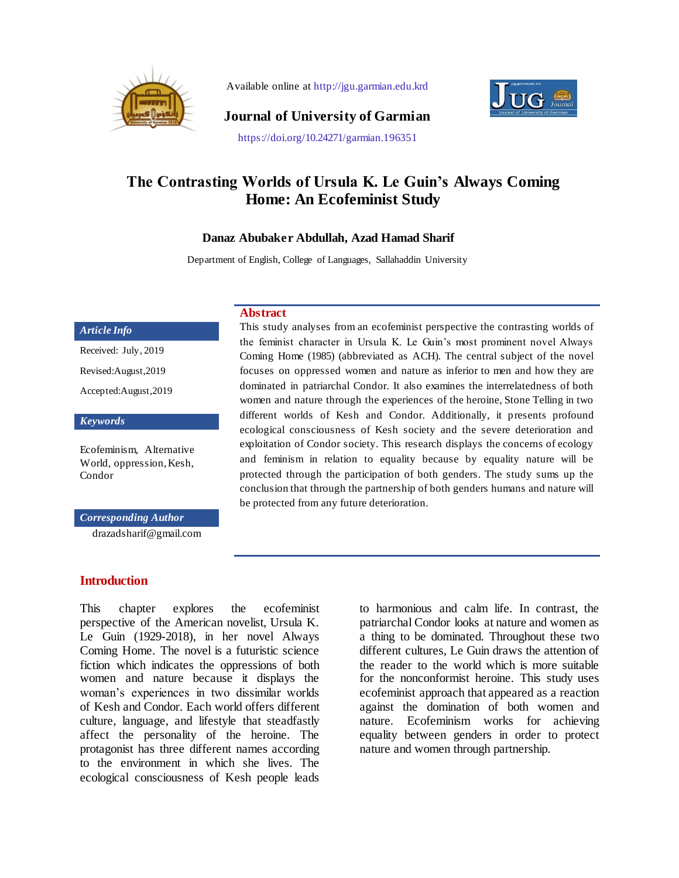

Available online at http://jgu.garmian.edu.krd



**Journal of University of Garmian**

https://doi.org/10.24271/garmian.196351

# **The Contrasting Worlds of Ursula K. Le Guin's Always Coming Home: An Ecofeminist Study**

#### **Danaz Abubaker Abdullah, Azad Hamad Sharif**

Department of English, College of Languages, Sallahaddin University

**Abstract**

#### *Article Info*

Received: July, 2019 Revised:August,2019 Accepted:August,2019

#### *Keywords*

Ecofeminism, Alternative World, oppression, Kesh, Condor

#### *Corresponding Author* drazadsharif@gmail.com

### **Introduction**

This chapter explores the ecofeminist perspective of the American novelist, Ursula K. Le Guin (1929-2018), in her novel Always Coming Home. The novel is a futuristic science fiction which indicates the oppressions of both women and nature because it displays the woman"s experiences in two dissimilar worlds of Kesh and Condor. Each world offers different culture, language, and lifestyle that steadfastly affect the personality of the heroine. The protagonist has three different names according to the environment in which she lives. The ecological consciousness of Kesh people leads

This study analyses from an ecofeminist perspective the contrasting worlds of the feminist character in Ursula K. Le Guin"s most prominent novel Always Coming Home (1985) (abbreviated as ACH). The central subject of the novel focuses on oppressed women and nature as inferior to men and how they are dominated in patriarchal Condor. It also examines the interrelatedness of both women and nature through the experiences of the heroine, Stone Telling in two different worlds of Kesh and Condor. Additionally, it presents profound ecological consciousness of Kesh society and the severe deterioration and exploitation of Condor society. This research displays the concerns of ecology and feminism in relation to equality because by equality nature will be protected through the participation of both genders. The study sums up the conclusion that through the partnership of both genders humans and nature will be protected from any future deterioration.

> to harmonious and calm life. In contrast, the patriarchal Condor looks at nature and women as a thing to be dominated. Throughout these two different cultures, Le Guin draws the attention of the reader to the world which is more suitable for the nonconformist heroine. This study uses ecofeminist approach that appeared as a reaction against the domination of both women and nature. Ecofeminism works for achieving equality between genders in order to protect nature and women through partnership.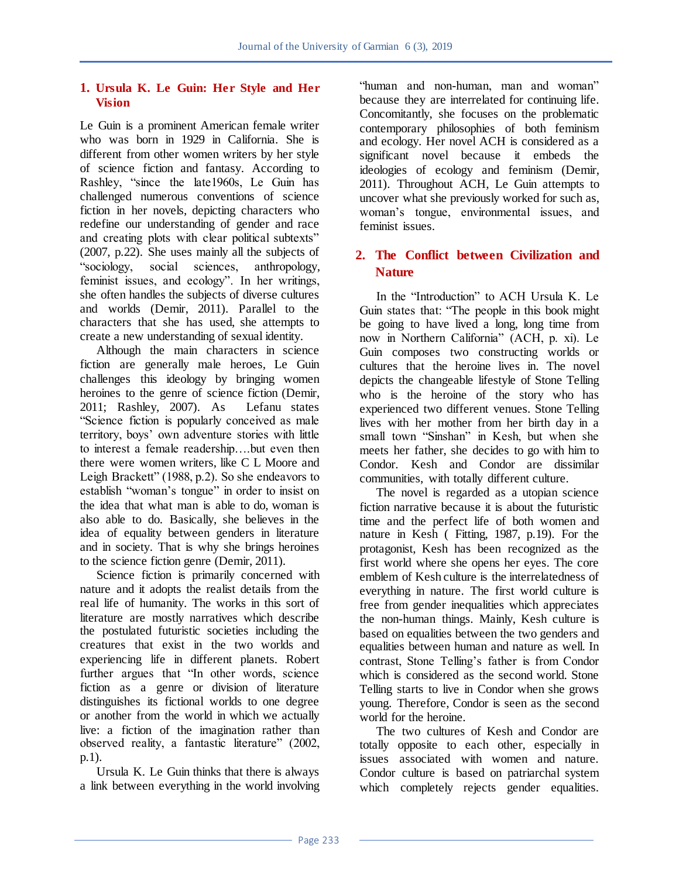#### **1. Ursula K. Le Guin: Her Style and Her Vision**

Le Guin is a prominent American female writer who was born in 1929 in California. She is different from other women writers by her style of science fiction and fantasy. According to Rashley, "since the late1960s, Le Guin has challenged numerous conventions of science fiction in her novels, depicting characters who redefine our understanding of gender and race and creating plots with clear political subtexts" (2007, p.22). She uses mainly all the subjects of "sociology, social sciences, anthropology, feminist issues, and ecology". In her writings, she often handles the subjects of diverse cultures and worlds (Demir, 2011). Parallel to the characters that she has used, she attempts to create a new understanding of sexual identity.

 Although the main characters in science fiction are generally male heroes, Le Guin challenges this ideology by bringing women heroines to the genre of science fiction (Demir, 2011; Rashley, 2007). As Lefanu states "Science fiction is popularly conceived as male territory, boys" own adventure stories with little to interest a female readership….but even then there were women writers, like C L Moore and Leigh Brackett" (1988, p.2). So she endeavors to establish "woman"s tongue" in order to insist on the idea that what man is able to do, woman is also able to do. Basically, she believes in the idea of equality between genders in literature and in society. That is why she brings heroines to the science fiction genre (Demir, 2011).

 Science fiction is primarily concerned with nature and it adopts the realist details from the real life of humanity. The works in this sort of literature are mostly narratives which describe the postulated futuristic societies including the creatures that exist in the two worlds and experiencing life in different planets. Robert further argues that "In other words, science fiction as a genre or division of literature distinguishes its fictional worlds to one degree or another from the world in which we actually live: a fiction of the imagination rather than observed reality, a fantastic literature" (2002, p.1).

 Ursula K. Le Guin thinks that there is always a link between everything in the world involving "human and non-human, man and woman" because they are interrelated for continuing life. Concomitantly, she focuses on the problematic contemporary philosophies of both feminism and ecology. Her novel ACH is considered as a significant novel because it embeds the ideologies of ecology and feminism (Demir, 2011). Throughout ACH, Le Guin attempts to uncover what she previously worked for such as, woman"s tongue, environmental issues, and feminist issues.

# **2. The Conflict between Civilization and Nature**

 In the "Introduction" to ACH Ursula K. Le Guin states that: "The people in this book might be going to have lived a long, long time from now in Northern California" (ACH, p. xi). Le Guin composes two constructing worlds or cultures that the heroine lives in. The novel depicts the changeable lifestyle of Stone Telling who is the heroine of the story who has experienced two different venues. Stone Telling lives with her mother from her birth day in a small town "Sinshan" in Kesh, but when she meets her father, she decides to go with him to Condor. Kesh and Condor are dissimilar communities, with totally different culture.

 The novel is regarded as a utopian science fiction narrative because it is about the futuristic time and the perfect life of both women and nature in Kesh ( Fitting, 1987, p.19). For the protagonist, Kesh has been recognized as the first world where she opens her eyes. The core emblem of Kesh culture is the interrelatedness of everything in nature. The first world culture is free from gender inequalities which appreciates the non-human things. Mainly, Kesh culture is based on equalities between the two genders and equalities between human and nature as well. In contrast, Stone Telling"s father is from Condor which is considered as the second world. Stone Telling starts to live in Condor when she grows young. Therefore, Condor is seen as the second world for the heroine.

 The two cultures of Kesh and Condor are totally opposite to each other, especially in issues associated with women and nature. Condor culture is based on patriarchal system which completely rejects gender equalities.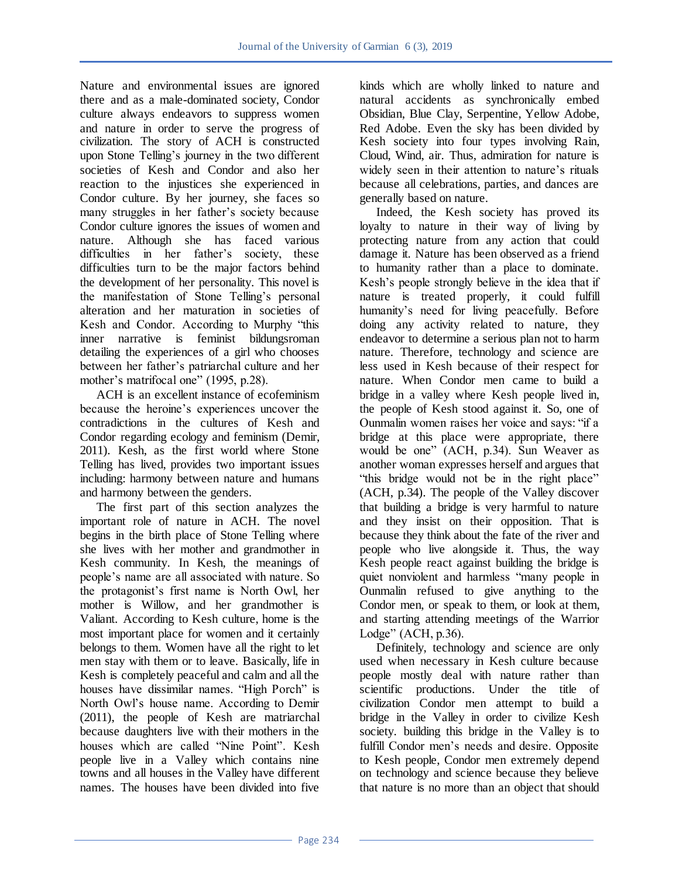Nature and environmental issues are ignored there and as a male-dominated society, Condor culture always endeavors to suppress women and nature in order to serve the progress of civilization. The story of ACH is constructed upon Stone Telling"s journey in the two different societies of Kesh and Condor and also her reaction to the injustices she experienced in Condor culture. By her journey, she faces so many struggles in her father"s society because Condor culture ignores the issues of women and nature. Although she has faced various difficulties in her father's society, these difficulties turn to be the major factors behind the development of her personality. This novel is the manifestation of Stone Telling"s personal alteration and her maturation in societies of Kesh and Condor. According to Murphy "this inner narrative is feminist bildungsroman detailing the experiences of a girl who chooses between her father"s patriarchal culture and her mother's matrifocal one" (1995, p.28).

 ACH is an excellent instance of ecofeminism because the heroine"s experiences uncover the contradictions in the cultures of Kesh and Condor regarding ecology and feminism (Demir, 2011). Kesh, as the first world where Stone Telling has lived, provides two important issues including: harmony between nature and humans and harmony between the genders.

 The first part of this section analyzes the important role of nature in ACH. The novel begins in the birth place of Stone Telling where she lives with her mother and grandmother in Kesh community. In Kesh, the meanings of people"s name are all associated with nature. So the protagonist's first name is North Owl, her mother is Willow, and her grandmother is Valiant. According to Kesh culture, home is the most important place for women and it certainly belongs to them. Women have all the right to let men stay with them or to leave. Basically, life in Kesh is completely peaceful and calm and all the houses have dissimilar names. "High Porch" is North Owl"s house name. According to Demir (2011), the people of Kesh are matriarchal because daughters live with their mothers in the houses which are called "Nine Point". Kesh people live in a Valley which contains nine towns and all houses in the Valley have different names. The houses have been divided into five

kinds which are wholly linked to nature and natural accidents as synchronically embed Obsidian, Blue Clay, Serpentine, Yellow Adobe, Red Adobe. Even the sky has been divided by Kesh society into four types involving Rain, Cloud, Wind, air. Thus, admiration for nature is widely seen in their attention to nature's rituals because all celebrations, parties, and dances are generally based on nature.

 Indeed, the Kesh society has proved its loyalty to nature in their way of living by protecting nature from any action that could damage it. Nature has been observed as a friend to humanity rather than a place to dominate. Kesh"s people strongly believe in the idea that if nature is treated properly, it could fulfill humanity's need for living peacefully. Before doing any activity related to nature, they endeavor to determine a serious plan not to harm nature. Therefore, technology and science are less used in Kesh because of their respect for nature. When Condor men came to build a bridge in a valley where Kesh people lived in, the people of Kesh stood against it. So, one of Ounmalin women raises her voice and says: "if a bridge at this place were appropriate, there would be one" (ACH, p.34). Sun Weaver as another woman expresses herself and argues that "this bridge would not be in the right place" (ACH, p.34). The people of the Valley discover that building a bridge is very harmful to nature and they insist on their opposition. That is because they think about the fate of the river and people who live alongside it. Thus, the way Kesh people react against building the bridge is quiet nonviolent and harmless "many people in Ounmalin refused to give anything to the Condor men, or speak to them, or look at them, and starting attending meetings of the Warrior Lodge" (ACH, p.36).

 Definitely, technology and science are only used when necessary in Kesh culture because people mostly deal with nature rather than scientific productions. Under the title of civilization Condor men attempt to build a bridge in the Valley in order to civilize Kesh society. building this bridge in the Valley is to fulfill Condor men's needs and desire. Opposite to Kesh people, Condor men extremely depend on technology and science because they believe that nature is no more than an object that should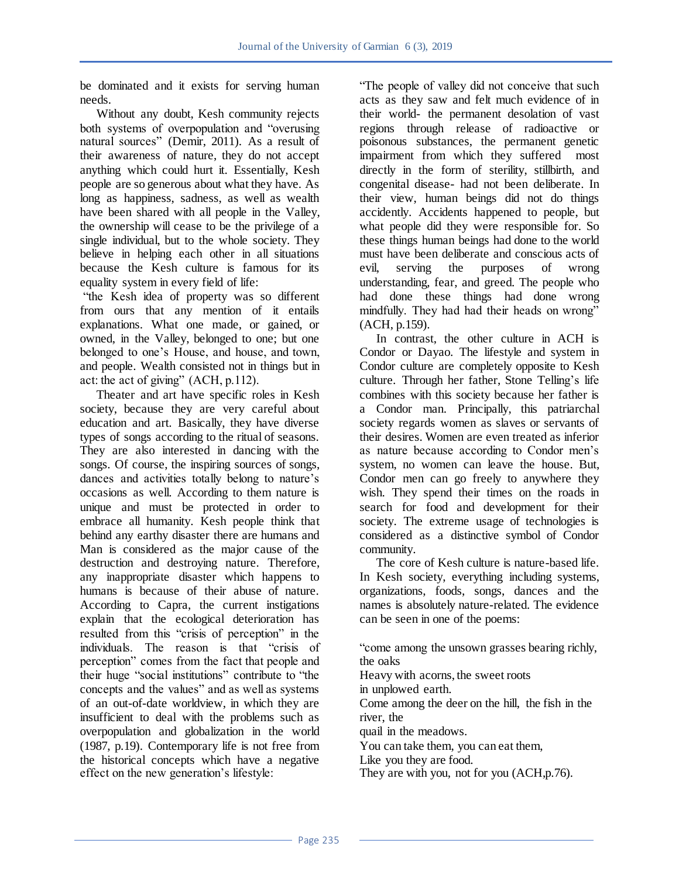be dominated and it exists for serving human needs.

 Without any doubt, Kesh community rejects both systems of overpopulation and "overusing natural sources" (Demir, 2011). As a result of their awareness of nature, they do not accept anything which could hurt it. Essentially, Kesh people are so generous about what they have. As long as happiness, sadness, as well as wealth have been shared with all people in the Valley, the ownership will cease to be the privilege of a single individual, but to the whole society. They believe in helping each other in all situations because the Kesh culture is famous for its equality system in every field of life:

"the Kesh idea of property was so different from ours that any mention of it entails explanations. What one made, or gained, or owned, in the Valley, belonged to one; but one belonged to one"s House, and house, and town, and people. Wealth consisted not in things but in act: the act of giving" (ACH, p.112).

 Theater and art have specific roles in Kesh society, because they are very careful about education and art. Basically, they have diverse types of songs according to the ritual of seasons. They are also interested in dancing with the songs. Of course, the inspiring sources of songs, dances and activities totally belong to nature's occasions as well. According to them nature is unique and must be protected in order to embrace all humanity. Kesh people think that behind any earthy disaster there are humans and Man is considered as the major cause of the destruction and destroying nature. Therefore, any inappropriate disaster which happens to humans is because of their abuse of nature. According to Capra, the current instigations explain that the ecological deterioration has resulted from this "crisis of perception" in the individuals. The reason is that "crisis of perception" comes from the fact that people and their huge "social institutions" contribute to "the concepts and the values" and as well as systems of an out-of-date worldview, in which they are insufficient to deal with the problems such as overpopulation and globalization in the world (1987, p.19). Contemporary life is not free from the historical concepts which have a negative effect on the new generation"s lifestyle:

"The people of valley did not conceive that such acts as they saw and felt much evidence of in their world- the permanent desolation of vast regions through release of radioactive or poisonous substances, the permanent genetic impairment from which they suffered most directly in the form of sterility, stillbirth, and congenital disease- had not been deliberate. In their view, human beings did not do things accidently. Accidents happened to people, but what people did they were responsible for. So these things human beings had done to the world must have been deliberate and conscious acts of evil, serving the purposes of wrong understanding, fear, and greed. The people who had done these things had done wrong mindfully. They had had their heads on wrong" (ACH, p.159).

 In contrast, the other culture in ACH is Condor or Dayao. The lifestyle and system in Condor culture are completely opposite to Kesh culture. Through her father, Stone Telling"s life combines with this society because her father is a Condor man. Principally, this patriarchal society regards women as slaves or servants of their desires. Women are even treated as inferior as nature because according to Condor men"s system, no women can leave the house. But, Condor men can go freely to anywhere they wish. They spend their times on the roads in search for food and development for their society. The extreme usage of technologies is considered as a distinctive symbol of Condor community.

 The core of Kesh culture is nature-based life. In Kesh society, everything including systems, organizations, foods, songs, dances and the names is absolutely nature-related. The evidence can be seen in one of the poems:

"come among the unsown grasses bearing richly, the oaks Heavy with acorns, the sweet roots in unplowed earth. Come among the deer on the hill, the fish in the river, the quail in the meadows. You can take them, you can eat them, Like you they are food. They are with you, not for you (ACH,p.76).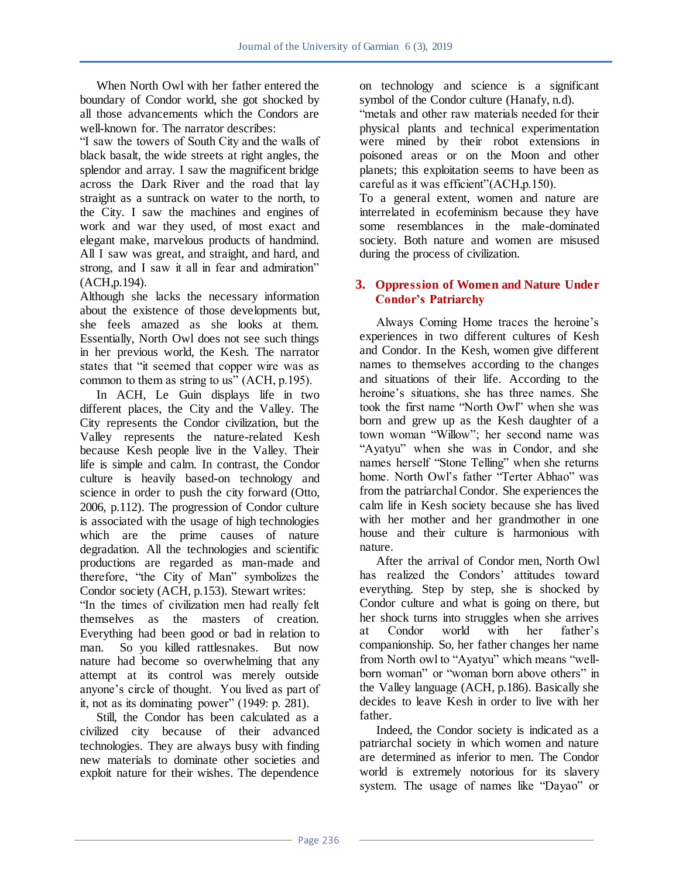When North Owl with her father entered the boundary of Condor world, she got shocked by all those advancements which the Condors are well-known for. The narrator describes:

"I saw the towers of South City and the walls of black basalt, the wide streets at right angles, the splendor and array. I saw the magnificent bridge across the Dark River and the road that lay straight as a suntrack on water to the north, to the City. I saw the machines and engines of work and war they used, of most exact and elegant make, marvelous products of handmind. All I saw was great, and straight, and hard, and strong, and I saw it all in fear and admiration" (ACH,p.194).

Although she lacks the necessary information about the existence of those developments but, she feels amazed as she looks at them. Essentially, North Owl does not see such things in her previous world, the Kesh. The narrator states that "it seemed that copper wire was as common to them as string to  $us^{\gamma}$  (ACH, p.195).

 In ACH, Le Guin displays life in two different places, the City and the Valley. The City represents the Condor civilization, but the Valley represents the nature-related Kesh because Kesh people live in the Valley. Their life is simple and calm. In contrast, the Condor culture is heavily based-on technology and science in order to push the city forward (Otto, 2006, p.112). The progression of Condor culture is associated with the usage of high technologies which are the prime causes of nature degradation. All the technologies and scientific productions are regarded as man-made and therefore, "the City of Man" symbolizes the Condor society (ACH, p.153). Stewart writes:

"In the times of civilization men had really felt themselves as the masters of creation. Everything had been good or bad in relation to man. So you killed rattlesnakes. But now nature had become so overwhelming that any attempt at its control was merely outside anyone"s circle of thought. You lived as part of it, not as its dominating power" (1949: p. 281).

 Still, the Condor has been calculated as a civilized city because of their advanced technologies. They are always busy with finding new materials to dominate other societies and exploit nature for their wishes. The dependence

on technology and science is a significant symbol of the Condor culture (Hanafy, n.d).

"metals and other raw materials needed for their physical plants and technical experimentation were mined by their robot extensions in poisoned areas or on the Moon and other planets; this exploitation seems to have been as careful as it was efficient"(ACH,p.150).

To a general extent, women and nature are interrelated in ecofeminism because they have some resemblances in the male-dominated society. Both nature and women are misused during the process of civilization.

### **3. Oppression of Women and Nature Under Condor's Patriarchy**

 Always Coming Home traces the heroine"s experiences in two different cultures of Kesh and Condor. In the Kesh, women give different names to themselves according to the changes and situations of their life. According to the heroine's situations, she has three names. She took the first name "North Owl" when she was born and grew up as the Kesh daughter of a town woman "Willow"; her second name was "Ayatyu" when she was in Condor, and she names herself "Stone Telling" when she returns home. North Owl"s father "Terter Abhao" was from the patriarchal Condor. She experiences the calm life in Kesh society because she has lived with her mother and her grandmother in one house and their culture is harmonious with nature.

 After the arrival of Condor men, North Owl has realized the Condors' attitudes toward everything. Step by step, she is shocked by Condor culture and what is going on there, but her shock turns into struggles when she arrives at Condor world with her father"s companionship. So, her father changes her name from North owl to "Ayatyu" which means "wellborn woman" or "woman born above others" in the Valley language (ACH, p.186). Basically she decides to leave Kesh in order to live with her father.

 Indeed, the Condor society is indicated as a patriarchal society in which women and nature are determined as inferior to men. The Condor world is extremely notorious for its slavery system. The usage of names like "Dayao" or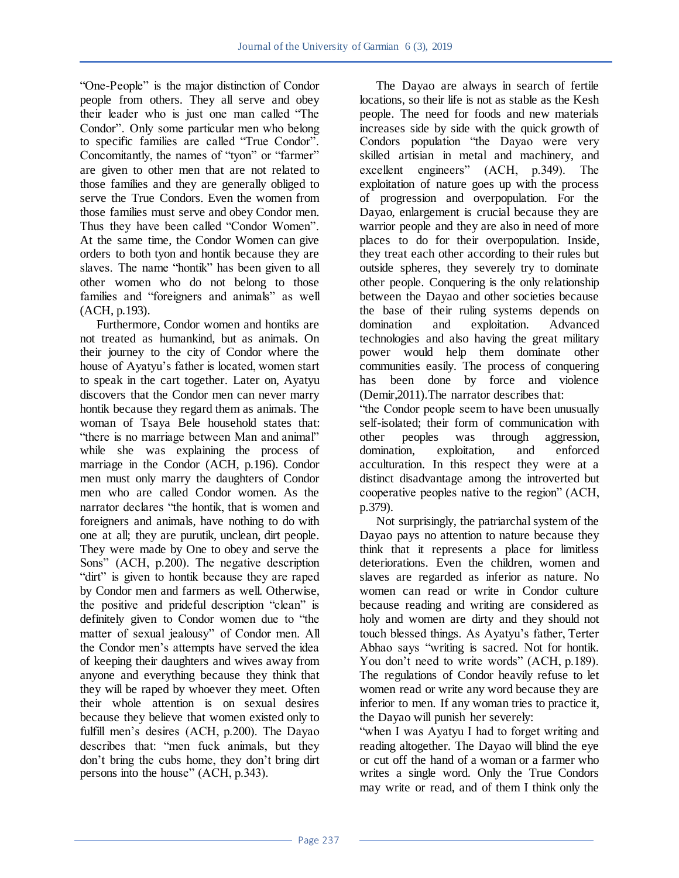"One-People" is the major distinction of Condor people from others. They all serve and obey their leader who is just one man called "The Condor". Only some particular men who belong to specific families are called "True Condor". Concomitantly, the names of "tyon" or "farmer" are given to other men that are not related to those families and they are generally obliged to serve the True Condors. Even the women from those families must serve and obey Condor men. Thus they have been called "Condor Women". At the same time, the Condor Women can give orders to both tyon and hontik because they are slaves. The name "hontik" has been given to all other women who do not belong to those families and "foreigners and animals" as well (ACH, p.193).

 Furthermore, Condor women and hontiks are not treated as humankind, but as animals. On their journey to the city of Condor where the house of Ayatyu"s father is located, women start to speak in the cart together. Later on, Ayatyu discovers that the Condor men can never marry hontik because they regard them as animals. The woman of Tsaya Bele household states that: "there is no marriage between Man and animal" while she was explaining the process of marriage in the Condor (ACH, p.196). Condor men must only marry the daughters of Condor men who are called Condor women. As the narrator declares "the hontik, that is women and foreigners and animals, have nothing to do with one at all; they are purutik, unclean, dirt people. They were made by One to obey and serve the Sons" (ACH, p.200). The negative description "dirt" is given to hontik because they are raped by Condor men and farmers as well. Otherwise, the positive and prideful description "clean" is definitely given to Condor women due to "the matter of sexual jealousy" of Condor men. All the Condor men"s attempts have served the idea of keeping their daughters and wives away from anyone and everything because they think that they will be raped by whoever they meet. Often their whole attention is on sexual desires because they believe that women existed only to fulfill men"s desires (ACH, p.200). The Dayao describes that: "men fuck animals, but they don"t bring the cubs home, they don"t bring dirt persons into the house" (ACH, p.343).

 The Dayao are always in search of fertile locations, so their life is not as stable as the Kesh people. The need for foods and new materials increases side by side with the quick growth of Condors population "the Dayao were very skilled artisian in metal and machinery, and excellent engineers" (ACH, p.349). The exploitation of nature goes up with the process of progression and overpopulation. For the Dayao, enlargement is crucial because they are warrior people and they are also in need of more places to do for their overpopulation. Inside, they treat each other according to their rules but outside spheres, they severely try to dominate other people. Conquering is the only relationship between the Dayao and other societies because the base of their ruling systems depends on domination and exploitation. Advanced technologies and also having the great military power would help them dominate other communities easily. The process of conquering has been done by force and violence (Demir,2011).The narrator describes that:

"the Condor people seem to have been unusually self-isolated; their form of communication with other peoples was through aggression, domination, exploitation, and enforced acculturation. In this respect they were at a distinct disadvantage among the introverted but cooperative peoples native to the region" (ACH, p.379).

 Not surprisingly, the patriarchal system of the Dayao pays no attention to nature because they think that it represents a place for limitless deteriorations. Even the children, women and slaves are regarded as inferior as nature. No women can read or write in Condor culture because reading and writing are considered as holy and women are dirty and they should not touch blessed things. As Ayatyu"s father, Terter Abhao says "writing is sacred. Not for hontik. You don't need to write words" (ACH, p.189). The regulations of Condor heavily refuse to let women read or write any word because they are inferior to men. If any woman tries to practice it, the Dayao will punish her severely:

"when I was Ayatyu I had to forget writing and reading altogether. The Dayao will blind the eye or cut off the hand of a woman or a farmer who writes a single word. Only the True Condors may write or read, and of them I think only the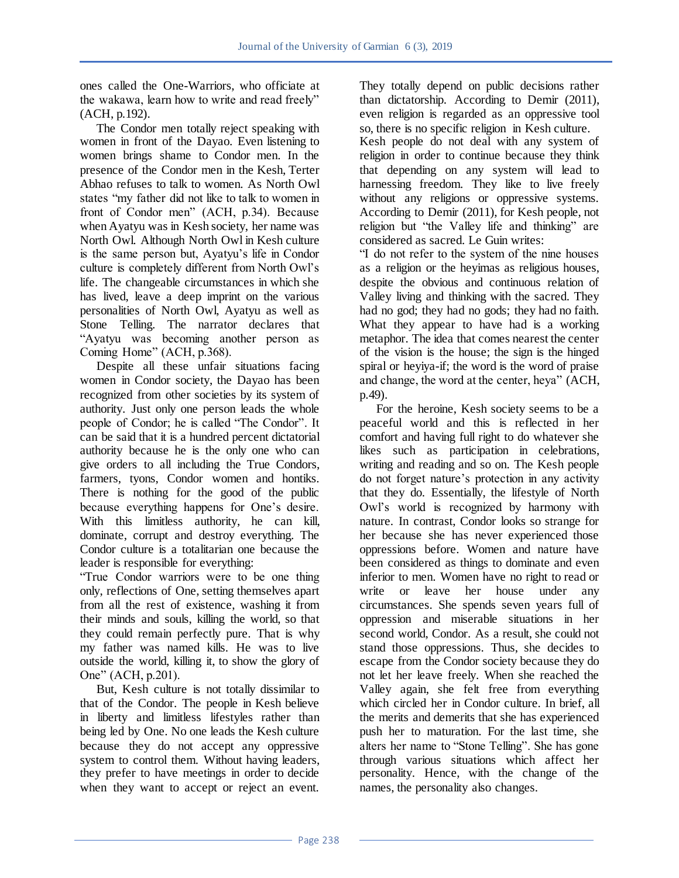ones called the One-Warriors, who officiate at the wakawa, learn how to write and read freely" (ACH, p.192).

 The Condor men totally reject speaking with women in front of the Dayao. Even listening to women brings shame to Condor men. In the presence of the Condor men in the Kesh, Terter Abhao refuses to talk to women. As North Owl states "my father did not like to talk to women in front of Condor men" (ACH, p.34). Because when Ayatyu was in Kesh society, her name was North Owl. Although North Owl in Kesh culture is the same person but, Ayatyu"s life in Condor culture is completely different from North Owl"s life. The changeable circumstances in which she has lived, leave a deep imprint on the various personalities of North Owl, Ayatyu as well as Stone Telling. The narrator declares that "Ayatyu was becoming another person as Coming Home" (ACH, p.368).

 Despite all these unfair situations facing women in Condor society, the Dayao has been recognized from other societies by its system of authority. Just only one person leads the whole people of Condor; he is called "The Condor". It can be said that it is a hundred percent dictatorial authority because he is the only one who can give orders to all including the True Condors, farmers, tyons, Condor women and hontiks. There is nothing for the good of the public because everything happens for One"s desire. With this limitless authority, he can kill, dominate, corrupt and destroy everything. The Condor culture is a totalitarian one because the leader is responsible for everything:

"True Condor warriors were to be one thing only, reflections of One, setting themselves apart from all the rest of existence, washing it from their minds and souls, killing the world, so that they could remain perfectly pure. That is why my father was named kills. He was to live outside the world, killing it, to show the glory of One" (ACH, p.201).

 But, Kesh culture is not totally dissimilar to that of the Condor. The people in Kesh believe in liberty and limitless lifestyles rather than being led by One. No one leads the Kesh culture because they do not accept any oppressive system to control them. Without having leaders, they prefer to have meetings in order to decide when they want to accept or reject an event.

They totally depend on public decisions rather than dictatorship. According to Demir (2011), even religion is regarded as an oppressive tool so, there is no specific religion in Kesh culture.

Kesh people do not deal with any system of religion in order to continue because they think that depending on any system will lead to harnessing freedom. They like to live freely without any religions or oppressive systems. According to Demir (2011), for Kesh people, not religion but "the Valley life and thinking" are considered as sacred. Le Guin writes:

"I do not refer to the system of the nine houses as a religion or the heyimas as religious houses, despite the obvious and continuous relation of Valley living and thinking with the sacred. They had no god; they had no gods; they had no faith. What they appear to have had is a working metaphor. The idea that comes nearest the center of the vision is the house; the sign is the hinged spiral or heyiya-if; the word is the word of praise and change, the word at the center, heya" (ACH, p.49).

 For the heroine, Kesh society seems to be a peaceful world and this is reflected in her comfort and having full right to do whatever she likes such as participation in celebrations, writing and reading and so on. The Kesh people do not forget nature"s protection in any activity that they do. Essentially, the lifestyle of North Owl"s world is recognized by harmony with nature. In contrast, Condor looks so strange for her because she has never experienced those oppressions before. Women and nature have been considered as things to dominate and even inferior to men. Women have no right to read or write or leave her house under any circumstances. She spends seven years full of oppression and miserable situations in her second world, Condor. As a result, she could not stand those oppressions. Thus, she decides to escape from the Condor society because they do not let her leave freely. When she reached the Valley again, she felt free from everything which circled her in Condor culture. In brief, all the merits and demerits that she has experienced push her to maturation. For the last time, she alters her name to "Stone Telling". She has gone through various situations which affect her personality. Hence, with the change of the names, the personality also changes.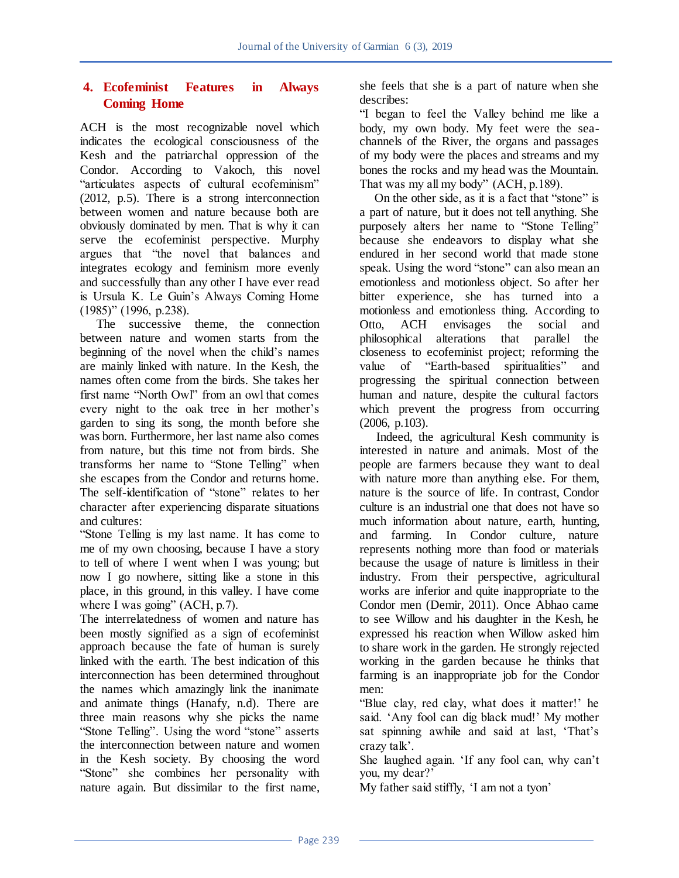## **4. Ecofeminist Features in Always Coming Home**

ACH is the most recognizable novel which indicates the ecological consciousness of the Kesh and the patriarchal oppression of the Condor. According to Vakoch, this novel "articulates aspects of cultural ecofeminism" (2012, p.5). There is a strong interconnection between women and nature because both are obviously dominated by men. That is why it can serve the ecofeminist perspective. Murphy argues that "the novel that balances and integrates ecology and feminism more evenly and successfully than any other I have ever read is Ursula K. Le Guin"s Always Coming Home (1985)" (1996, p.238).

 The successive theme, the connection between nature and women starts from the beginning of the novel when the child"s names are mainly linked with nature. In the Kesh, the names often come from the birds. She takes her first name "North Owl" from an owl that comes every night to the oak tree in her mother"s garden to sing its song, the month before she was born. Furthermore, her last name also comes from nature, but this time not from birds. She transforms her name to "Stone Telling" when she escapes from the Condor and returns home. The self-identification of "stone" relates to her character after experiencing disparate situations and cultures:

"Stone Telling is my last name. It has come to me of my own choosing, because I have a story to tell of where I went when I was young; but now I go nowhere, sitting like a stone in this place, in this ground, in this valley. I have come where I was going" (ACH, p.7).

The interrelatedness of women and nature has been mostly signified as a sign of ecofeminist approach because the fate of human is surely linked with the earth. The best indication of this interconnection has been determined throughout the names which amazingly link the inanimate and animate things (Hanafy, n.d). There are three main reasons why she picks the name "Stone Telling". Using the word "stone" asserts the interconnection between nature and women in the Kesh society. By choosing the word "Stone" she combines her personality with nature again. But dissimilar to the first name,

she feels that she is a part of nature when she describes:

"I began to feel the Valley behind me like a body, my own body. My feet were the seachannels of the River, the organs and passages of my body were the places and streams and my bones the rocks and my head was the Mountain. That was my all my body" (ACH, p.189).

 On the other side, as it is a fact that "stone" is a part of nature, but it does not tell anything. She purposely alters her name to "Stone Telling" because she endeavors to display what she endured in her second world that made stone speak. Using the word "stone" can also mean an emotionless and motionless object. So after her bitter experience, she has turned into a motionless and emotionless thing. According to<br>Otto. ACH envisages the social and Otto, ACH envisages the social and philosophical alterations that parallel the closeness to ecofeminist project; reforming the value of "Earth-based spiritualities" and progressing the spiritual connection between human and nature, despite the cultural factors which prevent the progress from occurring (2006, p.103).

 Indeed, the agricultural Kesh community is interested in nature and animals. Most of the people are farmers because they want to deal with nature more than anything else. For them, nature is the source of life. In contrast, Condor culture is an industrial one that does not have so much information about nature, earth, hunting, and farming. In Condor culture, nature represents nothing more than food or materials because the usage of nature is limitless in their industry. From their perspective, agricultural works are inferior and quite inappropriate to the Condor men (Demir, 2011). Once Abhao came to see Willow and his daughter in the Kesh, he expressed his reaction when Willow asked him to share work in the garden. He strongly rejected working in the garden because he thinks that farming is an inappropriate job for the Condor men:

"Blue clay, red clay, what does it matter!" he said. 'Any fool can dig black mud!' My mother sat spinning awhile and said at last, "That"s crazy talk".

She laughed again. "If any fool can, why can"t you, my dear?"

My father said stiffly, 'I am not a tyon'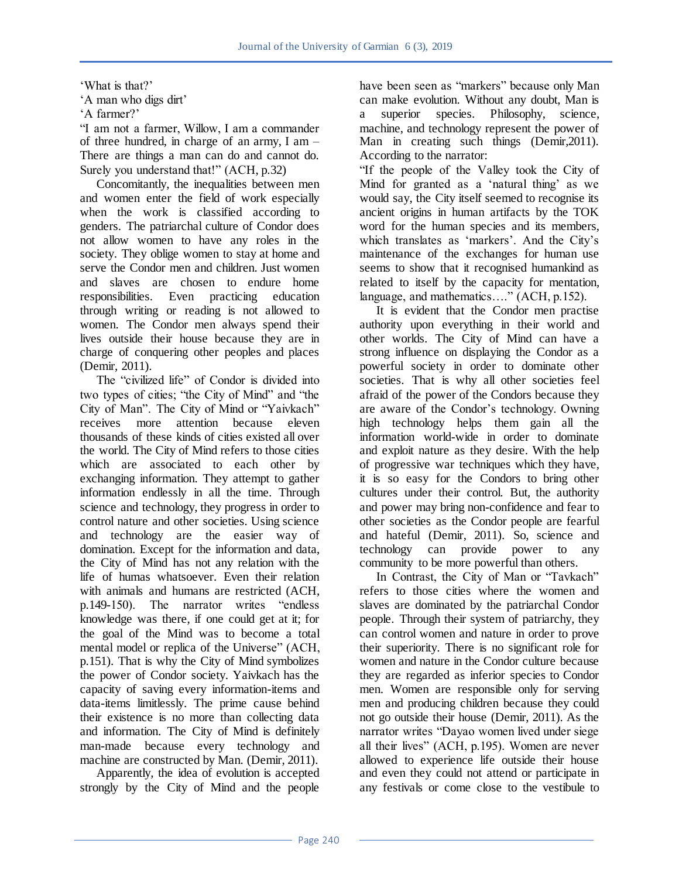"What is that?"

'A man who digs dirt'

'A farmer?'

"I am not a farmer, Willow, I am a commander of three hundred, in charge of an army, I am – There are things a man can do and cannot do. Surely you understand that!" (ACH, p.32)

 Concomitantly, the inequalities between men and women enter the field of work especially when the work is classified according to genders. The patriarchal culture of Condor does not allow women to have any roles in the society. They oblige women to stay at home and serve the Condor men and children. Just women and slaves are chosen to endure home responsibilities. Even practicing education through writing or reading is not allowed to women. The Condor men always spend their lives outside their house because they are in charge of conquering other peoples and places (Demir, 2011).

 The "civilized life" of Condor is divided into two types of cities; "the City of Mind" and "the City of Man". The City of Mind or "Yaivkach" receives more attention because eleven thousands of these kinds of cities existed all over the world. The City of Mind refers to those cities which are associated to each other by exchanging information. They attempt to gather information endlessly in all the time. Through science and technology, they progress in order to control nature and other societies. Using science and technology are the easier way of domination. Except for the information and data, the City of Mind has not any relation with the life of humas whatsoever. Even their relation with animals and humans are restricted (ACH, p.149-150). The narrator writes "endless knowledge was there, if one could get at it; for the goal of the Mind was to become a total mental model or replica of the Universe" (ACH, p.151). That is why the City of Mind symbolizes the power of Condor society. Yaivkach has the capacity of saving every information-items and data-items limitlessly. The prime cause behind their existence is no more than collecting data and information. The City of Mind is definitely man-made because every technology and machine are constructed by Man. (Demir, 2011).

 Apparently, the idea of evolution is accepted strongly by the City of Mind and the people

have been seen as "markers" because only Man can make evolution. Without any doubt, Man is a superior species. Philosophy, science, machine, and technology represent the power of Man in creating such things (Demir, 2011). According to the narrator:

"If the people of the Valley took the City of Mind for granted as a 'natural thing' as we would say, the City itself seemed to recognise its ancient origins in human artifacts by the TOK word for the human species and its members, which translates as 'markers'. And the City's maintenance of the exchanges for human use seems to show that it recognised humankind as related to itself by the capacity for mentation, language, and mathematics…." (ACH, p.152).

 It is evident that the Condor men practise authority upon everything in their world and other worlds. The City of Mind can have a strong influence on displaying the Condor as a powerful society in order to dominate other societies. That is why all other societies feel afraid of the power of the Condors because they are aware of the Condor"s technology. Owning high technology helps them gain all the information world-wide in order to dominate and exploit nature as they desire. With the help of progressive war techniques which they have, it is so easy for the Condors to bring other cultures under their control. But, the authority and power may bring non-confidence and fear to other societies as the Condor people are fearful and hateful (Demir, 2011). So, science and technology can provide power to any community to be more powerful than others.

 In Contrast, the City of Man or "Tavkach" refers to those cities where the women and slaves are dominated by the patriarchal Condor people. Through their system of patriarchy, they can control women and nature in order to prove their superiority. There is no significant role for women and nature in the Condor culture because they are regarded as inferior species to Condor men. Women are responsible only for serving men and producing children because they could not go outside their house (Demir, 2011). As the narrator writes "Dayao women lived under siege all their lives" (ACH, p.195). Women are never allowed to experience life outside their house and even they could not attend or participate in any festivals or come close to the vestibule to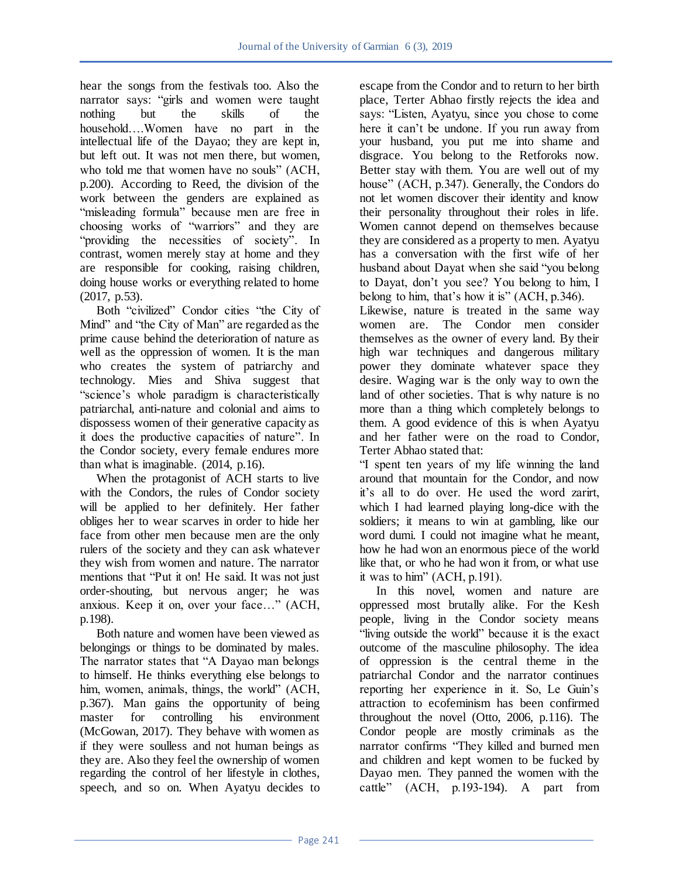hear the songs from the festivals too. Also the narrator says: "girls and women were taught nothing but the skills of the household….Women have no part in the intellectual life of the Dayao; they are kept in, but left out. It was not men there, but women, who told me that women have no souls" (ACH, p.200). According to Reed, the division of the work between the genders are explained as "misleading formula" because men are free in choosing works of "warriors" and they are "providing the necessities of society". In contrast, women merely stay at home and they are responsible for cooking, raising children, doing house works or everything related to home (2017, p.53).

 Both "civilized" Condor cities "the City of Mind" and "the City of Man" are regarded as the prime cause behind the deterioration of nature as well as the oppression of women. It is the man who creates the system of patriarchy and technology. Mies and Shiva suggest that "science"s whole paradigm is characteristically patriarchal, anti-nature and colonial and aims to dispossess women of their generative capacity as it does the productive capacities of nature". In the Condor society, every female endures more than what is imaginable. (2014, p.16).

 When the protagonist of ACH starts to live with the Condors, the rules of Condor society will be applied to her definitely. Her father obliges her to wear scarves in order to hide her face from other men because men are the only rulers of the society and they can ask whatever they wish from women and nature. The narrator mentions that "Put it on! He said. It was not just order-shouting, but nervous anger; he was anxious. Keep it on, over your face…" (ACH, p.198).

 Both nature and women have been viewed as belongings or things to be dominated by males. The narrator states that "A Dayao man belongs to himself. He thinks everything else belongs to him, women, animals, things, the world" (ACH, p.367). Man gains the opportunity of being master for controlling his environment (McGowan, 2017). They behave with women as if they were soulless and not human beings as they are. Also they feel the ownership of women regarding the control of her lifestyle in clothes, speech, and so on. When Ayatyu decides to

escape from the Condor and to return to her birth place, Terter Abhao firstly rejects the idea and says: "Listen, Ayatyu, since you chose to come here it can't be undone. If you run away from your husband, you put me into shame and disgrace. You belong to the Retforoks now. Better stay with them. You are well out of my house" (ACH, p.347). Generally, the Condors do not let women discover their identity and know their personality throughout their roles in life. Women cannot depend on themselves because they are considered as a property to men. Ayatyu has a conversation with the first wife of her husband about Dayat when she said "you belong to Dayat, don"t you see? You belong to him, I belong to him, that"s how it is" (ACH, p.346).

Likewise, nature is treated in the same way women are. The Condor men consider themselves as the owner of every land. By their high war techniques and dangerous military power they dominate whatever space they desire. Waging war is the only way to own the land of other societies. That is why nature is no more than a thing which completely belongs to them. A good evidence of this is when Ayatyu and her father were on the road to Condor Terter Abhao stated that:

"I spent ten years of my life winning the land around that mountain for the Condor, and now it"s all to do over. He used the word zarirt, which I had learned playing long-dice with the soldiers; it means to win at gambling, like our word dumi. I could not imagine what he meant, how he had won an enormous piece of the world like that, or who he had won it from, or what use it was to him" (ACH, p.191).

 In this novel, women and nature are oppressed most brutally alike. For the Kesh people, living in the Condor society means "living outside the world" because it is the exact outcome of the masculine philosophy. The idea of oppression is the central theme in the patriarchal Condor and the narrator continues reporting her experience in it. So, Le Guin"s attraction to ecofeminism has been confirmed throughout the novel (Otto, 2006, p.116). The Condor people are mostly criminals as the narrator confirms "They killed and burned men and children and kept women to be fucked by Dayao men. They panned the women with the cattle" (ACH, p.193-194). A part from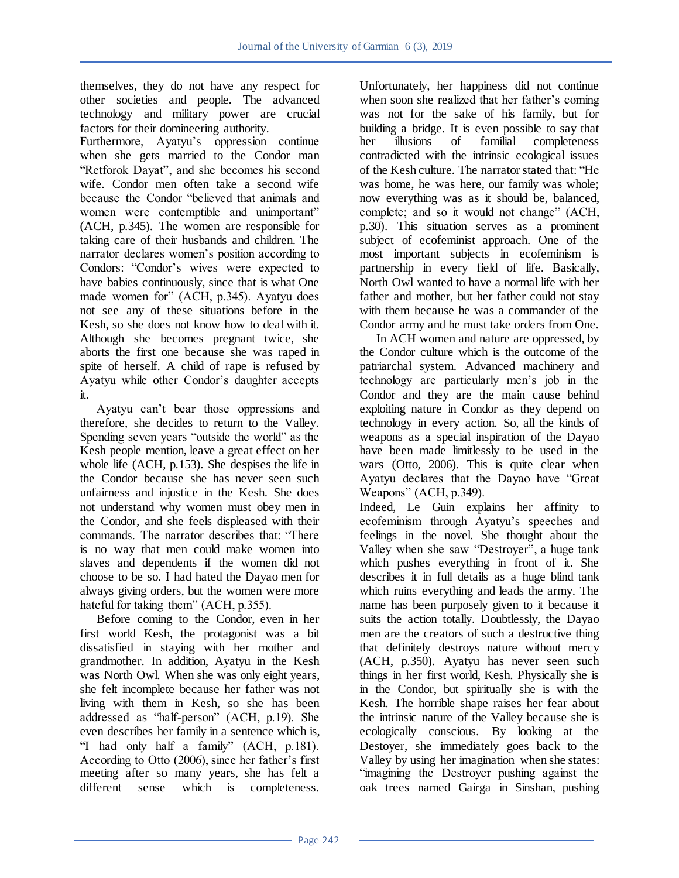themselves, they do not have any respect for other societies and people. The advanced technology and military power are crucial factors for their domineering authority.

Furthermore, Ayatyu"s oppression continue when she gets married to the Condor man "Retforok Dayat", and she becomes his second wife. Condor men often take a second wife because the Condor "believed that animals and women were contemptible and unimportant" (ACH, p.345). The women are responsible for taking care of their husbands and children. The narrator declares women"s position according to Condors: "Condor"s wives were expected to have babies continuously, since that is what One made women for" (ACH, p.345). Ayatyu does not see any of these situations before in the Kesh, so she does not know how to deal with it. Although she becomes pregnant twice, she aborts the first one because she was raped in spite of herself. A child of rape is refused by Ayatyu while other Condor"s daughter accepts it.

 Ayatyu can"t bear those oppressions and therefore, she decides to return to the Valley. Spending seven years "outside the world" as the Kesh people mention, leave a great effect on her whole life (ACH, p.153). She despises the life in the Condor because she has never seen such unfairness and injustice in the Kesh. She does not understand why women must obey men in the Condor, and she feels displeased with their commands. The narrator describes that: "There is no way that men could make women into slaves and dependents if the women did not choose to be so. I had hated the Dayao men for always giving orders, but the women were more hateful for taking them" (ACH, p.355).

 Before coming to the Condor, even in her first world Kesh, the protagonist was a bit dissatisfied in staying with her mother and grandmother. In addition, Ayatyu in the Kesh was North Owl. When she was only eight years, she felt incomplete because her father was not living with them in Kesh, so she has been addressed as "half-person" (ACH, p.19). She even describes her family in a sentence which is, "I had only half a family" (ACH, p.181). According to Otto (2006), since her father"s first meeting after so many years, she has felt a different sense which is completeness.

Unfortunately, her happiness did not continue when soon she realized that her father's coming was not for the sake of his family, but for building a bridge. It is even possible to say that<br>her illusions of familial completeness her illusions of familial completeness contradicted with the intrinsic ecological issues of the Kesh culture. The narrator stated that: "He was home, he was here, our family was whole; now everything was as it should be, balanced, complete; and so it would not change" (ACH, p.30). This situation serves as a prominent subject of ecofeminist approach. One of the most important subjects in ecofeminism is partnership in every field of life. Basically, North Owl wanted to have a normal life with her father and mother, but her father could not stay with them because he was a commander of the Condor army and he must take orders from One.

 In ACH women and nature are oppressed, by the Condor culture which is the outcome of the patriarchal system. Advanced machinery and technology are particularly men"s job in the Condor and they are the main cause behind exploiting nature in Condor as they depend on technology in every action. So, all the kinds of weapons as a special inspiration of the Dayao have been made limitlessly to be used in the wars (Otto, 2006). This is quite clear when Ayatyu declares that the Dayao have "Great Weapons" (ACH, p.349).

Indeed, Le Guin explains her affinity to ecofeminism through Ayatyu"s speeches and feelings in the novel. She thought about the Valley when she saw "Destroyer", a huge tank which pushes everything in front of it. She describes it in full details as a huge blind tank which ruins everything and leads the army. The name has been purposely given to it because it suits the action totally. Doubtlessly, the Dayao men are the creators of such a destructive thing that definitely destroys nature without mercy (ACH, p.350). Ayatyu has never seen such things in her first world, Kesh. Physically she is in the Condor, but spiritually she is with the Kesh. The horrible shape raises her fear about the intrinsic nature of the Valley because she is ecologically conscious. By looking at the Destoyer, she immediately goes back to the Valley by using her imagination when she states: "imagining the Destroyer pushing against the oak trees named Gairga in Sinshan, pushing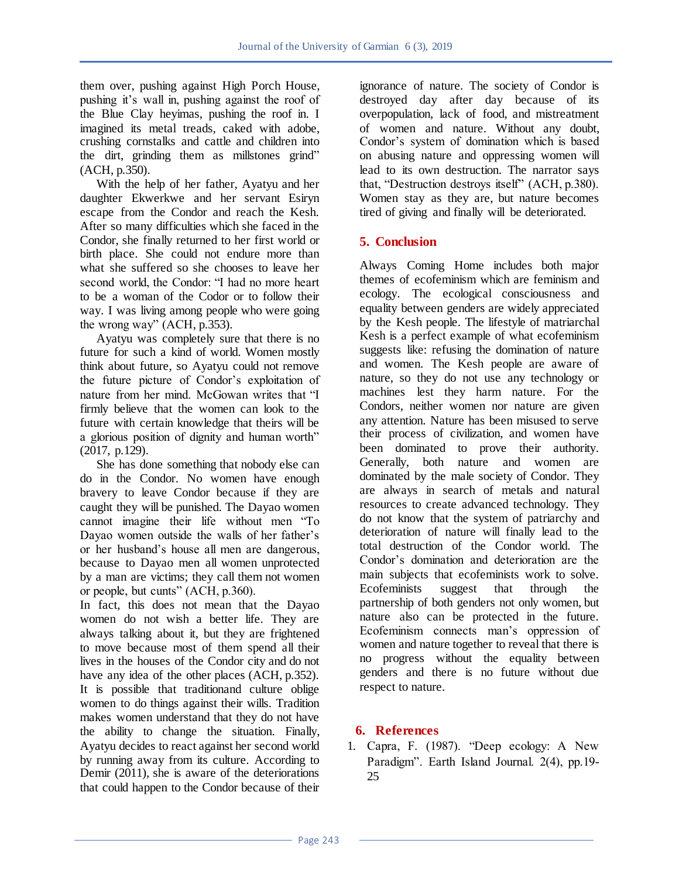them over, pushing against High Porch House, pushing it's wall in, pushing against the roof of the Blue Clay heyimas, pushing the roof in. I imagined its metal treads, caked with adobe, crushing cornstalks and cattle and children into the dirt, grinding them as millstones grind" (ACH, p.350).

 With the help of her father, Ayatyu and her daughter Ekwerkwe and her servant Esiryn escape from the Condor and reach the Kesh. After so many difficulties which she faced in the Condor, she finally returned to her first world or birth place. She could not endure more than what she suffered so she chooses to leave her second world, the Condor: "I had no more heart to be a woman of the Codor or to follow their way. I was living among people who were going the wrong way" (ACH, p.353).

 Ayatyu was completely sure that there is no future for such a kind of world. Women mostly think about future, so Ayatyu could not remove the future picture of Condor"s exploitation of nature from her mind. McGowan writes that "I firmly believe that the women can look to the future with certain knowledge that theirs will be a glorious position of dignity and human worth" (2017, p.129).

 She has done something that nobody else can do in the Condor. No women have enough bravery to leave Condor because if they are caught they will be punished. The Dayao women cannot imagine their life without men "To Dayao women outside the walls of her father's or her husband"s house all men are dangerous, because to Dayao men all women unprotected by a man are victims; they call them not women or people, but cunts" (ACH, p.360).

In fact, this does not mean that the Dayao women do not wish a better life. They are always talking about it, but they are frightened to move because most of them spend all their lives in the houses of the Condor city and do not have any idea of the other places (ACH, p.352). It is possible that traditionand culture oblige women to do things against their wills. Tradition makes women understand that they do not have the ability to change the situation. Finally, Ayatyu decides to react against her second world by running away from its culture. According to Demir (2011), she is aware of the deteriorations that could happen to the Condor because of their

ignorance of nature. The society of Condor is destroyed day after day because of its overpopulation, lack of food, and mistreatment of women and nature. Without any doubt, Condor"s system of domination which is based on abusing nature and oppressing women will lead to its own destruction. The narrator says that, "Destruction destroys itself" (ACH, p.380). Women stay as they are, but nature becomes tired of giving and finally will be deteriorated.

# **5. Conclusion**

Always Coming Home includes both major themes of ecofeminism which are feminism and ecology. The ecological consciousness and equality between genders are widely appreciated by the Kesh people. The lifestyle of matriarchal Kesh is a perfect example of what ecofeminism suggests like: refusing the domination of nature and women. The Kesh people are aware of nature, so they do not use any technology or machines lest they harm nature. For the Condors, neither women nor nature are given any attention. Nature has been misused to serve their process of civilization, and women have been dominated to prove their authority. Generally, both nature and women are dominated by the male society of Condor. They are always in search of metals and natural resources to create advanced technology. They do not know that the system of patriarchy and deterioration of nature will finally lead to the total destruction of the Condor world. The Condor"s domination and deterioration are the main subjects that ecofeminists work to solve. Ecofeminists suggest that through the partnership of both genders not only women, but nature also can be protected in the future. Ecofeminism connects man"s oppression of women and nature together to reveal that there is no progress without the equality between genders and there is no future without due respect to nature.

### **6. References**

1. Capra, F. (1987). "Deep ecology: A New Paradigm". Earth Island Journal. 2(4), pp.19- 25